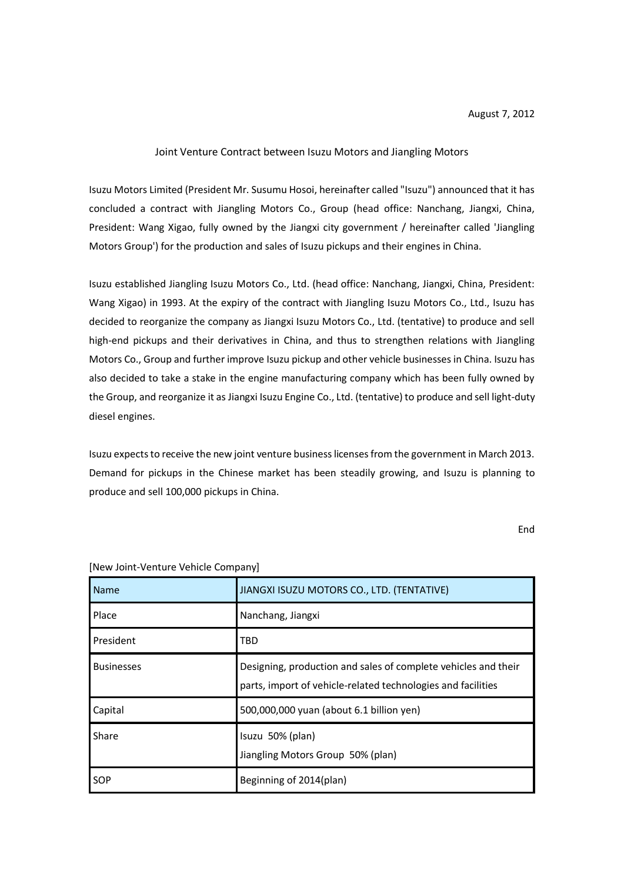## Joint Venture Contract between Isuzu Motors and Jiangling Motors

Isuzu Motors Limited (President Mr. Susumu Hosoi, hereinafter called "Isuzu") announced that it has concluded a contract with Jiangling Motors Co., Group (head office: Nanchang, Jiangxi, China, President: Wang Xigao, fully owned by the Jiangxi city government / hereinafter called 'Jiangling Motors Group') for the production and sales of Isuzu pickups and their engines in China.

Isuzu established Jiangling Isuzu Motors Co., Ltd. (head office: Nanchang, Jiangxi, China, President: Wang Xigao) in 1993. At the expiry of the contract with Jiangling Isuzu Motors Co., Ltd., Isuzu has decided to reorganize the company as Jiangxi Isuzu Motors Co., Ltd. (tentative) to produce and sell high-end pickups and their derivatives in China, and thus to strengthen relations with Jiangling Motors Co., Group and further improve Isuzu pickup and other vehicle businesses in China. Isuzu has also decided to take a stake in the engine manufacturing company which has been fully owned by the Group, and reorganize it as Jiangxi Isuzu Engine Co., Ltd. (tentative) to produce and sell light-duty diesel engines.

Isuzu expects to receive the new joint venture business licenses from the government in March 2013. Demand for pickups in the Chinese market has been steadily growing, and Isuzu is planning to produce and sell 100,000 pickups in China.

End

| <b>Name</b>       | JIANGXI ISUZU MOTORS CO., LTD. (TENTATIVE)                                                                                     |
|-------------------|--------------------------------------------------------------------------------------------------------------------------------|
| Place             | Nanchang, Jiangxi                                                                                                              |
| President         | TBD                                                                                                                            |
| <b>Businesses</b> | Designing, production and sales of complete vehicles and their<br>parts, import of vehicle-related technologies and facilities |
| Capital           | 500,000,000 yuan (about 6.1 billion yen)                                                                                       |
| Share             | Isuzu 50% (plan)<br>Jiangling Motors Group 50% (plan)                                                                          |
| SOP               | Beginning of 2014(plan)                                                                                                        |

[New Joint-Venture Vehicle Company]